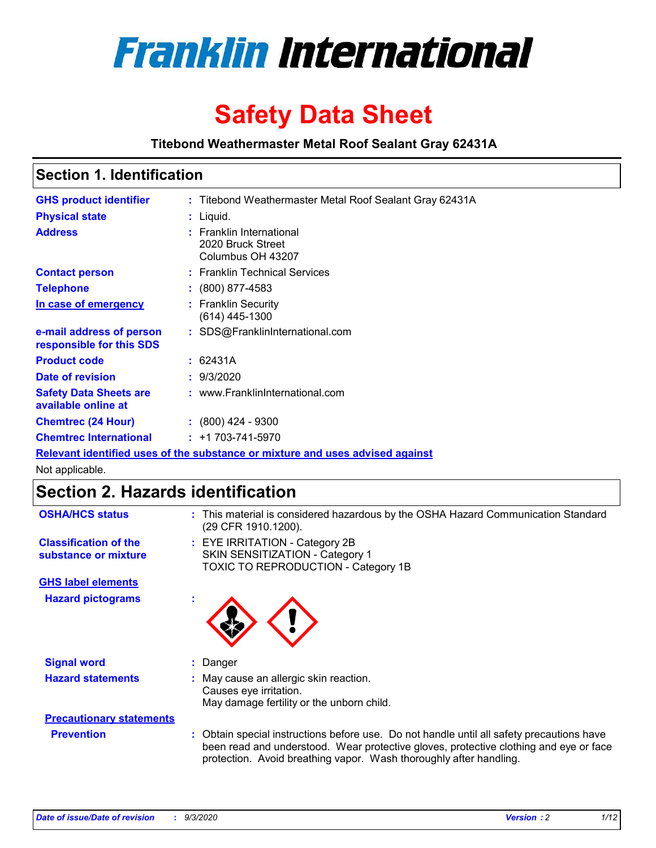

# **Safety Data Sheet**

**Titebond Weathermaster Metal Roof Sealant Gray 62431A**

### **Section 1. Identification**

| <b>GHS product identifier</b>                                                 |  | : Titebond Weathermaster Metal Roof Sealant Gray 62431A            |  |  |
|-------------------------------------------------------------------------------|--|--------------------------------------------------------------------|--|--|
| <b>Physical state</b>                                                         |  | : Liquid.                                                          |  |  |
| <b>Address</b>                                                                |  | : Franklin International<br>2020 Bruck Street<br>Columbus OH 43207 |  |  |
| <b>Contact person</b>                                                         |  | : Franklin Technical Services                                      |  |  |
| <b>Telephone</b>                                                              |  | $\colon$ (800) 877-4583                                            |  |  |
| In case of emergency                                                          |  | : Franklin Security<br>(614) 445-1300                              |  |  |
| e-mail address of person<br>responsible for this SDS                          |  | : SDS@FranklinInternational.com                                    |  |  |
| <b>Product code</b>                                                           |  | : 62431A                                                           |  |  |
| Date of revision                                                              |  | : 9/3/2020                                                         |  |  |
| <b>Safety Data Sheets are</b><br>available online at                          |  | : www.FranklinInternational.com                                    |  |  |
| <b>Chemtrec (24 Hour)</b>                                                     |  | $: (800)$ 424 - 9300                                               |  |  |
| <b>Chemtrec International</b>                                                 |  | $: +1703 - 741 - 5970$                                             |  |  |
| Relevant identified uses of the substance or mixture and uses advised against |  |                                                                    |  |  |

Not applicable.

### **Section 2. Hazards identification**

| <b>OSHA/HCS status</b>                               |    | : This material is considered hazardous by the OSHA Hazard Communication Standard<br>(29 CFR 1910.1200).                                                                                                                                                 |
|------------------------------------------------------|----|----------------------------------------------------------------------------------------------------------------------------------------------------------------------------------------------------------------------------------------------------------|
| <b>Classification of the</b><br>substance or mixture |    | : EYE IRRITATION - Category 2B<br>SKIN SENSITIZATION - Category 1<br>TOXIC TO REPRODUCTION - Category 1B                                                                                                                                                 |
| <b>GHS label elements</b>                            |    |                                                                                                                                                                                                                                                          |
| <b>Hazard pictograms</b>                             | ×. |                                                                                                                                                                                                                                                          |
| <b>Signal word</b>                                   | ÷. | Danger                                                                                                                                                                                                                                                   |
| <b>Hazard statements</b>                             |    | May cause an allergic skin reaction.<br>Causes eye irritation.<br>May damage fertility or the unborn child.                                                                                                                                              |
| <b>Precautionary statements</b>                      |    |                                                                                                                                                                                                                                                          |
| <b>Prevention</b>                                    |    | : Obtain special instructions before use. Do not handle until all safety precautions have<br>been read and understood. Wear protective gloves, protective clothing and eye or face<br>protection. Avoid breathing vapor. Wash thoroughly after handling. |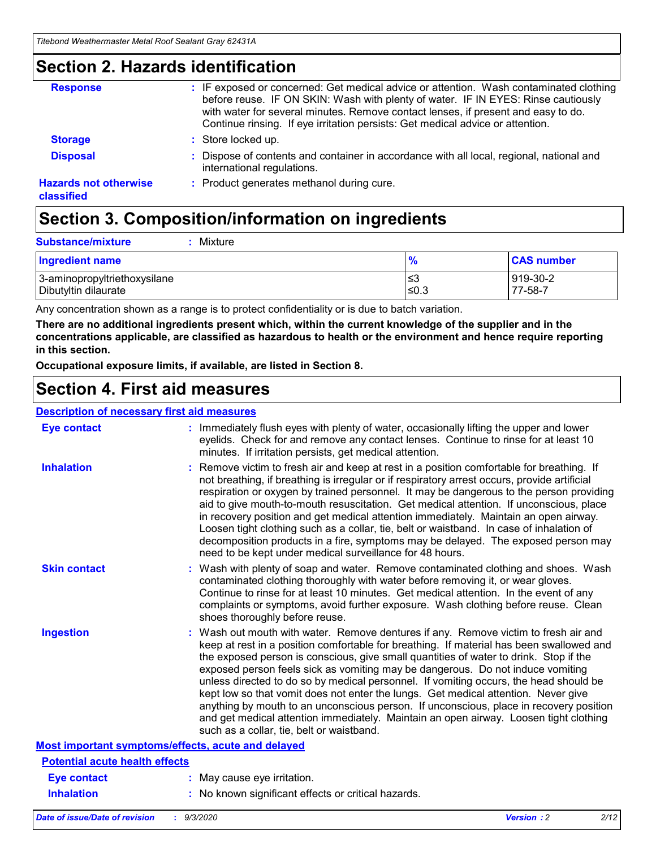### **Section 2. Hazards identification**

| <b>Response</b>                            | : IF exposed or concerned: Get medical advice or attention. Wash contaminated clothing<br>before reuse. IF ON SKIN: Wash with plenty of water. IF IN EYES: Rinse cautiously<br>with water for several minutes. Remove contact lenses, if present and easy to do.<br>Continue rinsing. If eye irritation persists: Get medical advice or attention. |
|--------------------------------------------|----------------------------------------------------------------------------------------------------------------------------------------------------------------------------------------------------------------------------------------------------------------------------------------------------------------------------------------------------|
| <b>Storage</b>                             | : Store locked up.                                                                                                                                                                                                                                                                                                                                 |
| <b>Disposal</b>                            | : Dispose of contents and container in accordance with all local, regional, national and<br>international regulations.                                                                                                                                                                                                                             |
| <b>Hazards not otherwise</b><br>classified | : Product generates methanol during cure.                                                                                                                                                                                                                                                                                                          |

# **Section 3. Composition/information on ingredients**

|  | : Mixture |
|--|-----------|

| <b>Ingredient name</b>       | 70     | <b>CAS number</b> |
|------------------------------|--------|-------------------|
| 3-aminopropyltriethoxysilane | צ≥     | 919-30-2          |
| Dibutyltin dilaurate         | $≤0.3$ | 77-58-7           |

Any concentration shown as a range is to protect confidentiality or is due to batch variation.

**There are no additional ingredients present which, within the current knowledge of the supplier and in the concentrations applicable, are classified as hazardous to health or the environment and hence require reporting in this section.**

**Occupational exposure limits, if available, are listed in Section 8.**

### **Section 4. First aid measures**

| <b>Description of necessary first aid measures</b> |                                                                                                                                                                                                                                                                                                                                                                                                                                                                                                                                                                                                                                                                                                                                                                           |
|----------------------------------------------------|---------------------------------------------------------------------------------------------------------------------------------------------------------------------------------------------------------------------------------------------------------------------------------------------------------------------------------------------------------------------------------------------------------------------------------------------------------------------------------------------------------------------------------------------------------------------------------------------------------------------------------------------------------------------------------------------------------------------------------------------------------------------------|
| <b>Eye contact</b>                                 | : Immediately flush eyes with plenty of water, occasionally lifting the upper and lower<br>eyelids. Check for and remove any contact lenses. Continue to rinse for at least 10<br>minutes. If irritation persists, get medical attention.                                                                                                                                                                                                                                                                                                                                                                                                                                                                                                                                 |
| <b>Inhalation</b>                                  | : Remove victim to fresh air and keep at rest in a position comfortable for breathing. If<br>not breathing, if breathing is irregular or if respiratory arrest occurs, provide artificial<br>respiration or oxygen by trained personnel. It may be dangerous to the person providing<br>aid to give mouth-to-mouth resuscitation. Get medical attention. If unconscious, place<br>in recovery position and get medical attention immediately. Maintain an open airway.<br>Loosen tight clothing such as a collar, tie, belt or waistband. In case of inhalation of<br>decomposition products in a fire, symptoms may be delayed. The exposed person may<br>need to be kept under medical surveillance for 48 hours.                                                       |
| <b>Skin contact</b>                                | : Wash with plenty of soap and water. Remove contaminated clothing and shoes. Wash<br>contaminated clothing thoroughly with water before removing it, or wear gloves.<br>Continue to rinse for at least 10 minutes. Get medical attention. In the event of any<br>complaints or symptoms, avoid further exposure. Wash clothing before reuse. Clean<br>shoes thoroughly before reuse.                                                                                                                                                                                                                                                                                                                                                                                     |
| <b>Ingestion</b>                                   | : Wash out mouth with water. Remove dentures if any. Remove victim to fresh air and<br>keep at rest in a position comfortable for breathing. If material has been swallowed and<br>the exposed person is conscious, give small quantities of water to drink. Stop if the<br>exposed person feels sick as vomiting may be dangerous. Do not induce vomiting<br>unless directed to do so by medical personnel. If vomiting occurs, the head should be<br>kept low so that vomit does not enter the lungs. Get medical attention. Never give<br>anything by mouth to an unconscious person. If unconscious, place in recovery position<br>and get medical attention immediately. Maintain an open airway. Loosen tight clothing<br>such as a collar, tie, belt or waistband. |
| Most important symptoms/effects, acute and delayed |                                                                                                                                                                                                                                                                                                                                                                                                                                                                                                                                                                                                                                                                                                                                                                           |
| <b>Potential acute health effects</b>              |                                                                                                                                                                                                                                                                                                                                                                                                                                                                                                                                                                                                                                                                                                                                                                           |
| <b>Eye contact</b>                                 | : May cause eye irritation.                                                                                                                                                                                                                                                                                                                                                                                                                                                                                                                                                                                                                                                                                                                                               |
| <b>Inhalation</b>                                  | : No known significant effects or critical hazards.                                                                                                                                                                                                                                                                                                                                                                                                                                                                                                                                                                                                                                                                                                                       |
|                                                    |                                                                                                                                                                                                                                                                                                                                                                                                                                                                                                                                                                                                                                                                                                                                                                           |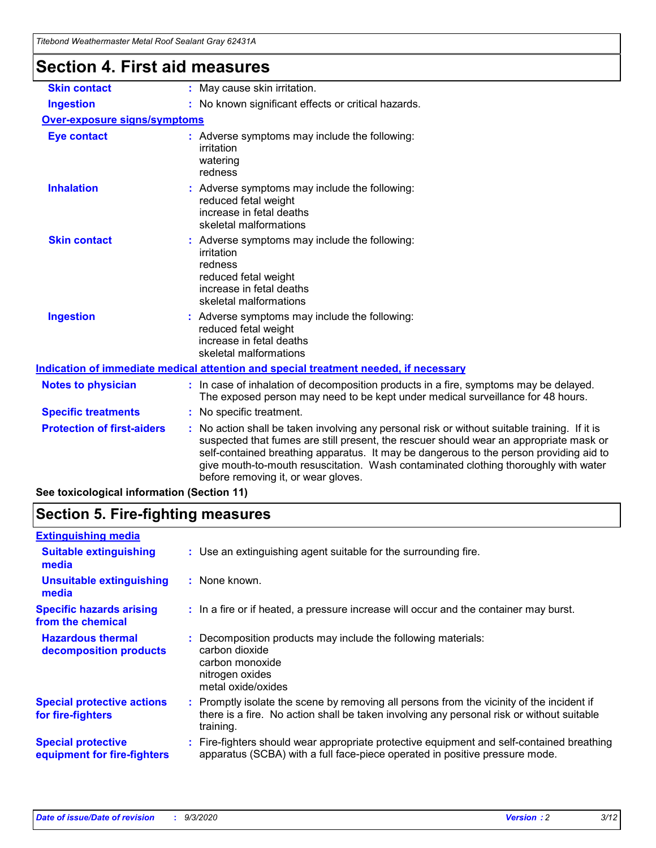| Titebond Weathermaster Metal Roof Sealant Gray 62431A |                                                                                                                                                                                                                                                                                                                                                                                                                 |  |
|-------------------------------------------------------|-----------------------------------------------------------------------------------------------------------------------------------------------------------------------------------------------------------------------------------------------------------------------------------------------------------------------------------------------------------------------------------------------------------------|--|
| <b>Section 4. First aid measures</b>                  |                                                                                                                                                                                                                                                                                                                                                                                                                 |  |
| <b>Skin contact</b>                                   | : May cause skin irritation.                                                                                                                                                                                                                                                                                                                                                                                    |  |
| <b>Ingestion</b>                                      | : No known significant effects or critical hazards.                                                                                                                                                                                                                                                                                                                                                             |  |
| <b>Over-exposure signs/symptoms</b>                   |                                                                                                                                                                                                                                                                                                                                                                                                                 |  |
| <b>Eye contact</b>                                    | : Adverse symptoms may include the following:<br>irritation<br>watering<br>redness                                                                                                                                                                                                                                                                                                                              |  |
| <b>Inhalation</b>                                     | : Adverse symptoms may include the following:<br>reduced fetal weight<br>increase in fetal deaths<br>skeletal malformations                                                                                                                                                                                                                                                                                     |  |
| <b>Skin contact</b>                                   | : Adverse symptoms may include the following:<br>irritation<br>redness<br>reduced fetal weight<br>increase in fetal deaths<br>skeletal malformations                                                                                                                                                                                                                                                            |  |
| <b>Ingestion</b>                                      | : Adverse symptoms may include the following:<br>reduced fetal weight<br>increase in fetal deaths<br>skeletal malformations                                                                                                                                                                                                                                                                                     |  |
|                                                       | Indication of immediate medical attention and special treatment needed, if necessary                                                                                                                                                                                                                                                                                                                            |  |
| <b>Notes to physician</b>                             | : In case of inhalation of decomposition products in a fire, symptoms may be delayed.<br>The exposed person may need to be kept under medical surveillance for 48 hours.                                                                                                                                                                                                                                        |  |
| <b>Specific treatments</b>                            | : No specific treatment.                                                                                                                                                                                                                                                                                                                                                                                        |  |
| <b>Protection of first-aiders</b>                     | : No action shall be taken involving any personal risk or without suitable training. If it is<br>suspected that fumes are still present, the rescuer should wear an appropriate mask or<br>self-contained breathing apparatus. It may be dangerous to the person providing aid to<br>give mouth-to-mouth resuscitation. Wash contaminated clothing thoroughly with water<br>before removing it, or wear gloves. |  |

**See toxicological information (Section 11)**

### **Section 5. Fire-fighting measures**

| <b>Extinguishing media</b>                               |                                                                                                                                                                                                   |
|----------------------------------------------------------|---------------------------------------------------------------------------------------------------------------------------------------------------------------------------------------------------|
| <b>Suitable extinguishing</b><br>media                   | : Use an extinguishing agent suitable for the surrounding fire.                                                                                                                                   |
| <b>Unsuitable extinguishing</b><br>media                 | : None known.                                                                                                                                                                                     |
| <b>Specific hazards arising</b><br>from the chemical     | : In a fire or if heated, a pressure increase will occur and the container may burst.                                                                                                             |
| <b>Hazardous thermal</b><br>decomposition products       | Decomposition products may include the following materials:<br>carbon dioxide<br>carbon monoxide<br>nitrogen oxides<br>metal oxide/oxides                                                         |
| <b>Special protective actions</b><br>for fire-fighters   | Promptly isolate the scene by removing all persons from the vicinity of the incident if<br>there is a fire. No action shall be taken involving any personal risk or without suitable<br>training. |
| <b>Special protective</b><br>equipment for fire-fighters | : Fire-fighters should wear appropriate protective equipment and self-contained breathing<br>apparatus (SCBA) with a full face-piece operated in positive pressure mode.                          |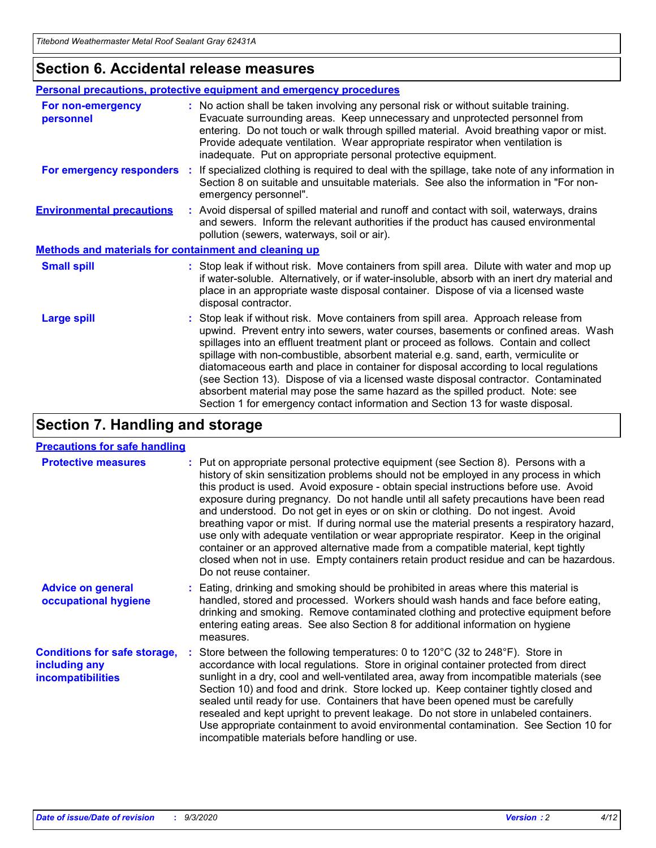### **Section 6. Accidental release measures**

|                                                              | Personal precautions, protective equipment and emergency procedures                                                                                                                                                                                                                                                                                                                                                                                                                                                                                                                                                                                                                                          |  |  |  |
|--------------------------------------------------------------|--------------------------------------------------------------------------------------------------------------------------------------------------------------------------------------------------------------------------------------------------------------------------------------------------------------------------------------------------------------------------------------------------------------------------------------------------------------------------------------------------------------------------------------------------------------------------------------------------------------------------------------------------------------------------------------------------------------|--|--|--|
| For non-emergency<br>personnel                               | : No action shall be taken involving any personal risk or without suitable training.<br>Evacuate surrounding areas. Keep unnecessary and unprotected personnel from<br>entering. Do not touch or walk through spilled material. Avoid breathing vapor or mist.<br>Provide adequate ventilation. Wear appropriate respirator when ventilation is<br>inadequate. Put on appropriate personal protective equipment.                                                                                                                                                                                                                                                                                             |  |  |  |
| For emergency responders                                     | : If specialized clothing is required to deal with the spillage, take note of any information in<br>Section 8 on suitable and unsuitable materials. See also the information in "For non-<br>emergency personnel".                                                                                                                                                                                                                                                                                                                                                                                                                                                                                           |  |  |  |
| <b>Environmental precautions</b>                             | : Avoid dispersal of spilled material and runoff and contact with soil, waterways, drains<br>and sewers. Inform the relevant authorities if the product has caused environmental<br>pollution (sewers, waterways, soil or air).                                                                                                                                                                                                                                                                                                                                                                                                                                                                              |  |  |  |
| <b>Methods and materials for containment and cleaning up</b> |                                                                                                                                                                                                                                                                                                                                                                                                                                                                                                                                                                                                                                                                                                              |  |  |  |
| <b>Small spill</b>                                           | : Stop leak if without risk. Move containers from spill area. Dilute with water and mop up<br>if water-soluble. Alternatively, or if water-insoluble, absorb with an inert dry material and<br>place in an appropriate waste disposal container. Dispose of via a licensed waste<br>disposal contractor.                                                                                                                                                                                                                                                                                                                                                                                                     |  |  |  |
| <b>Large spill</b>                                           | : Stop leak if without risk. Move containers from spill area. Approach release from<br>upwind. Prevent entry into sewers, water courses, basements or confined areas. Wash<br>spillages into an effluent treatment plant or proceed as follows. Contain and collect<br>spillage with non-combustible, absorbent material e.g. sand, earth, vermiculite or<br>diatomaceous earth and place in container for disposal according to local regulations<br>(see Section 13). Dispose of via a licensed waste disposal contractor. Contaminated<br>absorbent material may pose the same hazard as the spilled product. Note: see<br>Section 1 for emergency contact information and Section 13 for waste disposal. |  |  |  |

### **Section 7. Handling and storage**

#### **Precautions for safe handling**

| <b>Protective measures</b>                                                       | : Put on appropriate personal protective equipment (see Section 8). Persons with a<br>history of skin sensitization problems should not be employed in any process in which<br>this product is used. Avoid exposure - obtain special instructions before use. Avoid<br>exposure during pregnancy. Do not handle until all safety precautions have been read<br>and understood. Do not get in eyes or on skin or clothing. Do not ingest. Avoid<br>breathing vapor or mist. If during normal use the material presents a respiratory hazard,<br>use only with adequate ventilation or wear appropriate respirator. Keep in the original<br>container or an approved alternative made from a compatible material, kept tightly<br>closed when not in use. Empty containers retain product residue and can be hazardous.<br>Do not reuse container. |
|----------------------------------------------------------------------------------|--------------------------------------------------------------------------------------------------------------------------------------------------------------------------------------------------------------------------------------------------------------------------------------------------------------------------------------------------------------------------------------------------------------------------------------------------------------------------------------------------------------------------------------------------------------------------------------------------------------------------------------------------------------------------------------------------------------------------------------------------------------------------------------------------------------------------------------------------|
| <b>Advice on general</b><br>occupational hygiene                                 | : Eating, drinking and smoking should be prohibited in areas where this material is<br>handled, stored and processed. Workers should wash hands and face before eating,<br>drinking and smoking. Remove contaminated clothing and protective equipment before<br>entering eating areas. See also Section 8 for additional information on hygiene<br>measures.                                                                                                                                                                                                                                                                                                                                                                                                                                                                                    |
| <b>Conditions for safe storage,</b><br>including any<br><i>incompatibilities</i> | Store between the following temperatures: 0 to $120^{\circ}$ C (32 to $248^{\circ}$ F). Store in<br>accordance with local regulations. Store in original container protected from direct<br>sunlight in a dry, cool and well-ventilated area, away from incompatible materials (see<br>Section 10) and food and drink. Store locked up. Keep container tightly closed and<br>sealed until ready for use. Containers that have been opened must be carefully<br>resealed and kept upright to prevent leakage. Do not store in unlabeled containers.<br>Use appropriate containment to avoid environmental contamination. See Section 10 for<br>incompatible materials before handling or use.                                                                                                                                                     |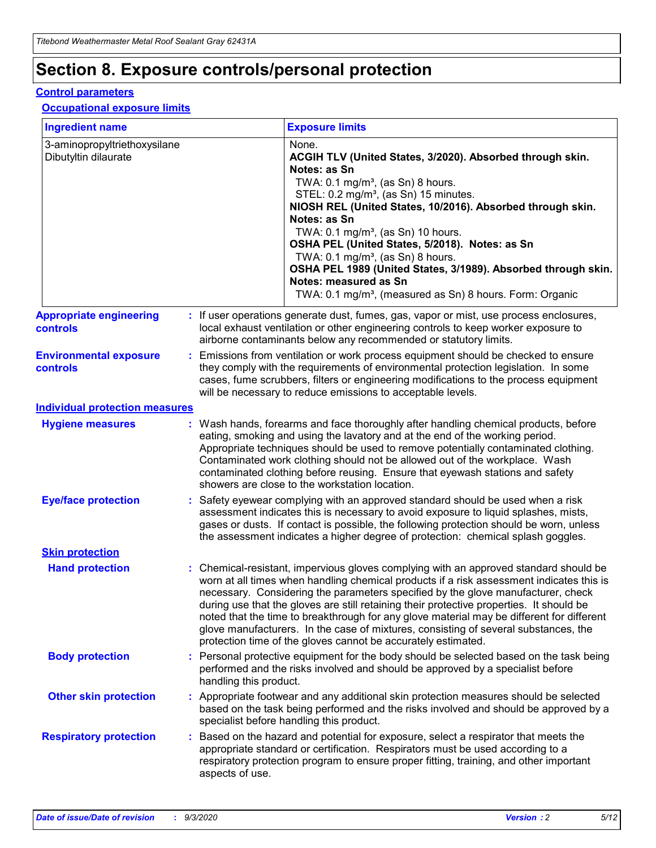# **Section 8. Exposure controls/personal protection**

#### **Control parameters**

#### **Occupational exposure limits**

| <b>Ingredient name</b>                               |    |                        | <b>Exposure limits</b>                                                                                                                                                                                                                                                                                                                                                                                                                                                                                                                                                                                                 |
|------------------------------------------------------|----|------------------------|------------------------------------------------------------------------------------------------------------------------------------------------------------------------------------------------------------------------------------------------------------------------------------------------------------------------------------------------------------------------------------------------------------------------------------------------------------------------------------------------------------------------------------------------------------------------------------------------------------------------|
| 3-aminopropyltriethoxysilane<br>Dibutyltin dilaurate |    |                        | None.<br>ACGIH TLV (United States, 3/2020). Absorbed through skin.<br>Notes: as Sn<br>TWA: $0.1 \text{ mg/m}^3$ , (as Sn) 8 hours.<br>STEL: 0.2 mg/m <sup>3</sup> , (as Sn) 15 minutes.<br>NIOSH REL (United States, 10/2016). Absorbed through skin.<br>Notes: as Sn<br>TWA: 0.1 mg/m <sup>3</sup> , (as Sn) 10 hours.<br>OSHA PEL (United States, 5/2018). Notes: as Sn<br>TWA: 0.1 mg/m <sup>3</sup> , (as Sn) 8 hours.<br>OSHA PEL 1989 (United States, 3/1989). Absorbed through skin.<br>Notes: measured as Sn<br>TWA: 0.1 mg/m <sup>3</sup> , (measured as Sn) 8 hours. Form: Organic                           |
| <b>Appropriate engineering</b><br>controls           |    |                        | : If user operations generate dust, fumes, gas, vapor or mist, use process enclosures,<br>local exhaust ventilation or other engineering controls to keep worker exposure to<br>airborne contaminants below any recommended or statutory limits.                                                                                                                                                                                                                                                                                                                                                                       |
| <b>Environmental exposure</b><br>controls            |    |                        | Emissions from ventilation or work process equipment should be checked to ensure<br>they comply with the requirements of environmental protection legislation. In some<br>cases, fume scrubbers, filters or engineering modifications to the process equipment<br>will be necessary to reduce emissions to acceptable levels.                                                                                                                                                                                                                                                                                          |
| <b>Individual protection measures</b>                |    |                        |                                                                                                                                                                                                                                                                                                                                                                                                                                                                                                                                                                                                                        |
| <b>Hygiene measures</b>                              |    |                        | : Wash hands, forearms and face thoroughly after handling chemical products, before<br>eating, smoking and using the lavatory and at the end of the working period.<br>Appropriate techniques should be used to remove potentially contaminated clothing.<br>Contaminated work clothing should not be allowed out of the workplace. Wash<br>contaminated clothing before reusing. Ensure that eyewash stations and safety<br>showers are close to the workstation location.                                                                                                                                            |
| <b>Eye/face protection</b>                           |    |                        | Safety eyewear complying with an approved standard should be used when a risk<br>assessment indicates this is necessary to avoid exposure to liquid splashes, mists,<br>gases or dusts. If contact is possible, the following protection should be worn, unless<br>the assessment indicates a higher degree of protection: chemical splash goggles.                                                                                                                                                                                                                                                                    |
| <b>Skin protection</b>                               |    |                        |                                                                                                                                                                                                                                                                                                                                                                                                                                                                                                                                                                                                                        |
| <b>Hand protection</b>                               |    |                        | : Chemical-resistant, impervious gloves complying with an approved standard should be<br>worn at all times when handling chemical products if a risk assessment indicates this is<br>necessary. Considering the parameters specified by the glove manufacturer, check<br>during use that the gloves are still retaining their protective properties. It should be<br>noted that the time to breakthrough for any glove material may be different for different<br>glove manufacturers. In the case of mixtures, consisting of several substances, the<br>protection time of the gloves cannot be accurately estimated. |
| <b>Body protection</b>                               |    | handling this product. | Personal protective equipment for the body should be selected based on the task being<br>performed and the risks involved and should be approved by a specialist before                                                                                                                                                                                                                                                                                                                                                                                                                                                |
| <b>Other skin protection</b>                         |    |                        | : Appropriate footwear and any additional skin protection measures should be selected<br>based on the task being performed and the risks involved and should be approved by a<br>specialist before handling this product.                                                                                                                                                                                                                                                                                                                                                                                              |
| <b>Respiratory protection</b>                        | ÷. | aspects of use.        | Based on the hazard and potential for exposure, select a respirator that meets the<br>appropriate standard or certification. Respirators must be used according to a<br>respiratory protection program to ensure proper fitting, training, and other important                                                                                                                                                                                                                                                                                                                                                         |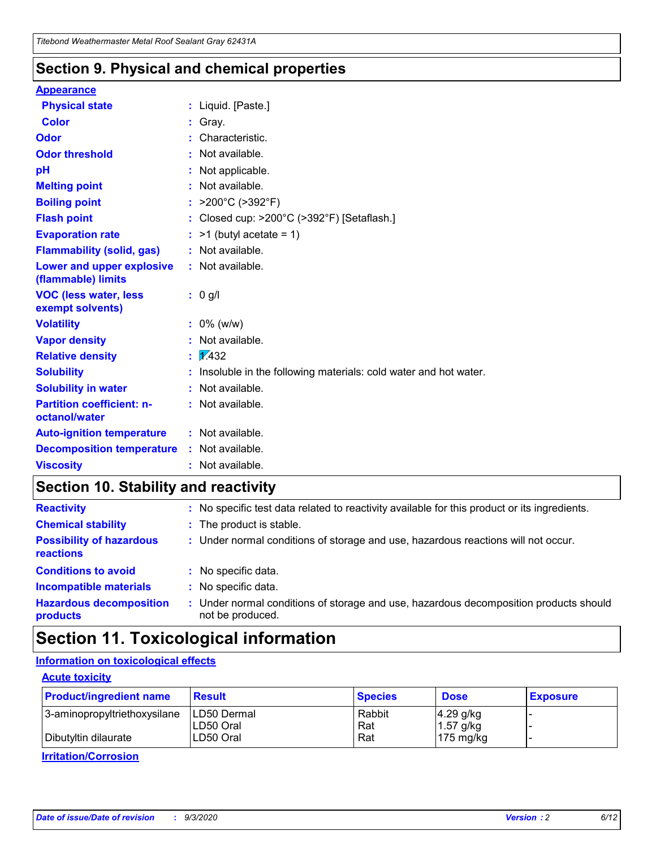### **Section 9. Physical and chemical properties**

#### **Appearance**

| <b>Physical state</b>                             | : Liquid. [Paste.]                                              |
|---------------------------------------------------|-----------------------------------------------------------------|
| <b>Color</b>                                      | Gray.                                                           |
| Odor                                              | Characteristic.                                                 |
| <b>Odor threshold</b>                             | Not available.                                                  |
| рH                                                | Not applicable.                                                 |
| <b>Melting point</b>                              | : Not available.                                                |
| <b>Boiling point</b>                              | >200°C (>392°F)                                                 |
| <b>Flash point</b>                                | Closed cup: >200°C (>392°F) [Setaflash.]                        |
| <b>Evaporation rate</b>                           | $:$ >1 (butyl acetate = 1)                                      |
| <b>Flammability (solid, gas)</b>                  | : Not available.                                                |
| Lower and upper explosive<br>(flammable) limits   | : Not available.                                                |
| <b>VOC (less water, less)</b><br>exempt solvents) | : 0 g/l                                                         |
| <b>Volatility</b>                                 | $: 0\%$ (w/w)                                                   |
| <b>Vapor density</b>                              | Not available.                                                  |
| <b>Relative density</b>                           | $\mathbf{1}$ $\mathbf{\sqrt{432}}$                              |
| <b>Solubility</b>                                 | Insoluble in the following materials: cold water and hot water. |
| <b>Solubility in water</b>                        | Not available.                                                  |
| <b>Partition coefficient: n-</b><br>octanol/water | $:$ Not available.                                              |
| <b>Auto-ignition temperature</b>                  | : Not available.                                                |
| <b>Decomposition temperature</b>                  | : Not available.                                                |
| <b>Viscosity</b>                                  | $:$ Not available.                                              |

### **Section 10. Stability and reactivity**

| <b>Reactivity</b>                            | : No specific test data related to reactivity available for this product or its ingredients.            |
|----------------------------------------------|---------------------------------------------------------------------------------------------------------|
| <b>Chemical stability</b>                    | : The product is stable.                                                                                |
| <b>Possibility of hazardous</b><br>reactions | : Under normal conditions of storage and use, hazardous reactions will not occur.                       |
| <b>Conditions to avoid</b>                   | : No specific data.                                                                                     |
| <b>Incompatible materials</b>                | : No specific data.                                                                                     |
| <b>Hazardous decomposition</b><br>products   | Under normal conditions of storage and use, hazardous decomposition products should<br>not be produced. |

### **Section 11. Toxicological information**

#### **Information on toxicological effects**

#### **Acute toxicity**

| <b>Product/ingredient name</b> | <b>Result</b>           | <b>Species</b> | <b>Dose</b>                | <b>Exposure</b> |
|--------------------------------|-------------------------|----------------|----------------------------|-----------------|
| 3-aminopropyltriethoxysilane   | <b>ILD50 Dermal</b>     | Rabbit         | 4.29 g/kg                  |                 |
| Dibutyltin dilaurate           | ILD50 Oral<br>LD50 Oral | Rat<br>Rat     | $1.57$ g/kg<br>175 $mg/kg$ |                 |
|                                |                         |                |                            |                 |

**Irritation/Corrosion**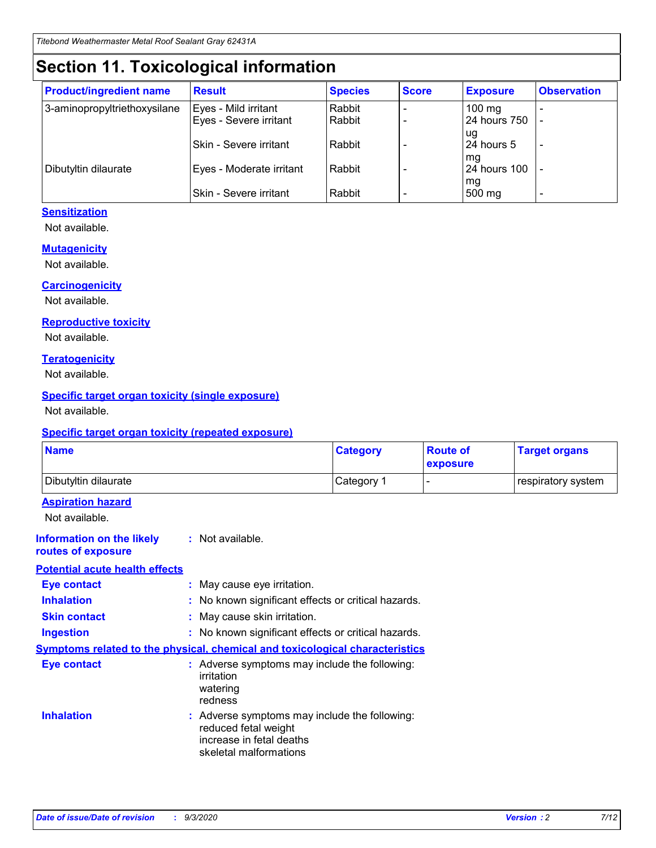# **Section 11. Toxicological information**

| <b>Product/ingredient name</b> | <b>Result</b>            | <b>Species</b> | <b>Score</b> | <b>Exposure</b>    | <b>Observation</b> |
|--------------------------------|--------------------------|----------------|--------------|--------------------|--------------------|
| 3-aminopropyltriethoxysilane   | Eyes - Mild irritant     | Rabbit         |              | $100$ mg           |                    |
|                                | Eyes - Severe irritant   | Rabbit         |              | 24 hours 750       |                    |
|                                |                          |                |              | ug                 |                    |
|                                | Skin - Severe irritant   | Rabbit         |              | 24 hours 5         | -                  |
| Dibutyltin dilaurate           | Eyes - Moderate irritant | Rabbit         |              | mg<br>24 hours 100 |                    |
|                                |                          |                |              | mg                 |                    |
|                                | Skin - Severe irritant   | Rabbit         |              | 500 mg             | -                  |

#### **Sensitization**

Not available.

#### **Mutagenicity**

Not available.

#### **Carcinogenicity**

Not available.

#### **Reproductive toxicity**

Not available.

#### **Teratogenicity**

Not available.

#### **Specific target organ toxicity (single exposure)**

Not available.

#### **Specific target organ toxicity (repeated exposure)**

| <b>Name</b>                                                                         |                                                                            | <b>Category</b>                                     | <b>Route of</b><br>exposure | <b>Target organs</b> |  |  |
|-------------------------------------------------------------------------------------|----------------------------------------------------------------------------|-----------------------------------------------------|-----------------------------|----------------------|--|--|
| Dibutyltin dilaurate                                                                |                                                                            | Category 1                                          | -                           | respiratory system   |  |  |
| <b>Aspiration hazard</b><br>Not available.                                          |                                                                            |                                                     |                             |                      |  |  |
| <b>Information on the likely</b><br>routes of exposure                              | : Not available.                                                           |                                                     |                             |                      |  |  |
| <b>Potential acute health effects</b>                                               |                                                                            |                                                     |                             |                      |  |  |
| <b>Eye contact</b>                                                                  | : May cause eye irritation.                                                |                                                     |                             |                      |  |  |
| <b>Inhalation</b>                                                                   |                                                                            | : No known significant effects or critical hazards. |                             |                      |  |  |
| <b>Skin contact</b>                                                                 |                                                                            | : May cause skin irritation.                        |                             |                      |  |  |
| <b>Ingestion</b>                                                                    |                                                                            | : No known significant effects or critical hazards. |                             |                      |  |  |
| <b>Symptoms related to the physical, chemical and toxicological characteristics</b> |                                                                            |                                                     |                             |                      |  |  |
| <b>Eye contact</b>                                                                  | irritation<br>watering<br>redness                                          | : Adverse symptoms may include the following:       |                             |                      |  |  |
| <b>Inhalation</b>                                                                   | reduced fetal weight<br>increase in fetal deaths<br>skeletal malformations | : Adverse symptoms may include the following:       |                             |                      |  |  |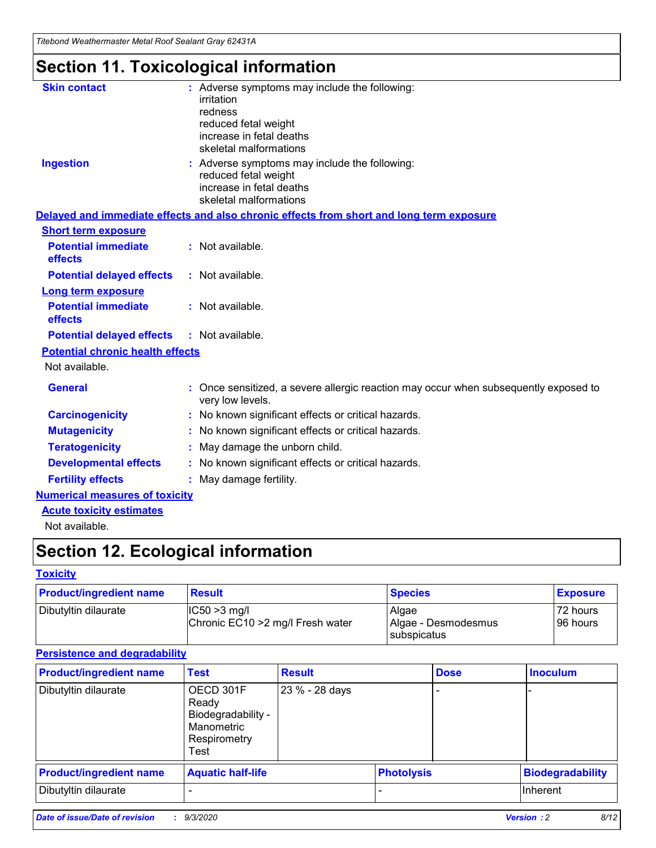*Titebond Weathermaster Metal Roof Sealant Gray 62431A*

# **Section 11. Toxicological information**

| <b>Skin contact</b>                     | irritation<br>redness<br>reduced fetal weight<br>increase in fetal deaths<br>skeletal malformations | : Adverse symptoms may include the following:                                            |
|-----------------------------------------|-----------------------------------------------------------------------------------------------------|------------------------------------------------------------------------------------------|
| <b>Ingestion</b>                        | reduced fetal weight<br>increase in fetal deaths<br>skeletal malformations                          | : Adverse symptoms may include the following:                                            |
|                                         |                                                                                                     | Delayed and immediate effects and also chronic effects from short and long term exposure |
| <b>Short term exposure</b>              |                                                                                                     |                                                                                          |
| <b>Potential immediate</b><br>effects   | : Not available.                                                                                    |                                                                                          |
| <b>Potential delayed effects</b>        | : Not available.                                                                                    |                                                                                          |
| <b>Long term exposure</b>               |                                                                                                     |                                                                                          |
| <b>Potential immediate</b><br>effects   | : Not available.                                                                                    |                                                                                          |
| <b>Potential delayed effects</b>        | : Not available.                                                                                    |                                                                                          |
| <b>Potential chronic health effects</b> |                                                                                                     |                                                                                          |
| Not available.                          |                                                                                                     |                                                                                          |
| <b>General</b>                          | very low levels.                                                                                    | : Once sensitized, a severe allergic reaction may occur when subsequently exposed to     |
| <b>Carcinogenicity</b>                  |                                                                                                     | : No known significant effects or critical hazards.                                      |
| <b>Mutagenicity</b>                     |                                                                                                     | No known significant effects or critical hazards.                                        |
| <b>Teratogenicity</b>                   |                                                                                                     | May damage the unborn child.                                                             |
| <b>Developmental effects</b>            |                                                                                                     | : No known significant effects or critical hazards.                                      |
| <b>Fertility effects</b>                | May damage fertility.                                                                               |                                                                                          |
| <b>Numerical measures of toxicity</b>   |                                                                                                     |                                                                                          |
| <b>Acute toxicity estimates</b>         |                                                                                                     |                                                                                          |
| Not available.                          |                                                                                                     |                                                                                          |

# **Section 12. Ecological information**

#### **Toxicity**

| <b>Product/ingredient name</b> | <b>Result</b>                                       | <b>Species</b>               | <b>Exposure</b>       |
|--------------------------------|-----------------------------------------------------|------------------------------|-----------------------|
| Dibutyltin dilaurate           | $ IC50>3$ mg/l<br>Chronic EC10 > 2 mg/l Fresh water | Algae<br>Algae - Desmodesmus | 72 hours<br>196 hours |
|                                |                                                     | subspicatus                  |                       |

#### **Persistence and degradability**

| <b>Product/ingredient name</b> | <b>Test</b>                                                                    | <b>Result</b>  |                   | <b>Dose</b> | <b>Inoculum</b>         |
|--------------------------------|--------------------------------------------------------------------------------|----------------|-------------------|-------------|-------------------------|
| Dibutyltin dilaurate           | OECD 301F<br>Ready<br>Biodegradability -<br>Manometric<br>Respirometry<br>Test | 23 % - 28 days |                   |             |                         |
| <b>Product/ingredient name</b> | <b>Aquatic half-life</b>                                                       |                | <b>Photolysis</b> |             | <b>Biodegradability</b> |
| Dibutyltin dilaurate           |                                                                                |                |                   |             | <b>Inherent</b>         |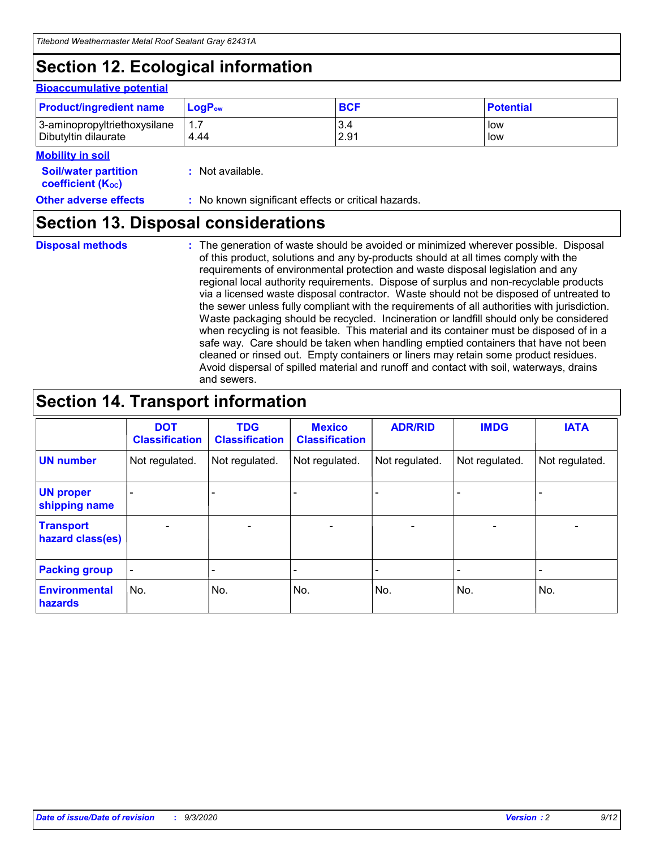# **Section 12. Ecological information**

#### **Bioaccumulative potential**

| <b>Product/ingredient name</b> | <b>LogP</b> <sub>ow</sub> | <b>BCF</b> | <b>Potential</b> |
|--------------------------------|---------------------------|------------|------------------|
| 3-aminopropyltriethoxysilane   | 4.44                      | 3.4        | low              |
| Dibutyltin dilaurate           |                           | 2.91       | low              |

#### **Mobility in soil**

| <b>MODILLY III SUIL</b>                                       |                                                     |
|---------------------------------------------------------------|-----------------------------------------------------|
| <b>Soil/water partition</b><br>coefficient (K <sub>oc</sub> ) | : Not available.                                    |
| <b>Other adverse effects</b>                                  | : No known significant effects or critical hazards. |

### **Section 13. Disposal considerations**

**Disposal methods :**

The generation of waste should be avoided or minimized wherever possible. Disposal of this product, solutions and any by-products should at all times comply with the requirements of environmental protection and waste disposal legislation and any regional local authority requirements. Dispose of surplus and non-recyclable products via a licensed waste disposal contractor. Waste should not be disposed of untreated to the sewer unless fully compliant with the requirements of all authorities with jurisdiction. Waste packaging should be recycled. Incineration or landfill should only be considered when recycling is not feasible. This material and its container must be disposed of in a safe way. Care should be taken when handling emptied containers that have not been cleaned or rinsed out. Empty containers or liners may retain some product residues. Avoid dispersal of spilled material and runoff and contact with soil, waterways, drains and sewers.

### **Section 14. Transport information**

|                                      | <b>DOT</b><br><b>Classification</b> | <b>TDG</b><br><b>Classification</b> | <b>Mexico</b><br><b>Classification</b> | <b>ADR/RID</b> | <b>IMDG</b>              | <b>IATA</b>    |
|--------------------------------------|-------------------------------------|-------------------------------------|----------------------------------------|----------------|--------------------------|----------------|
| <b>UN number</b>                     | Not regulated.                      | Not regulated.                      | Not regulated.                         | Not regulated. | Not regulated.           | Not regulated. |
| <b>UN proper</b><br>shipping name    |                                     |                                     |                                        |                |                          |                |
| <b>Transport</b><br>hazard class(es) |                                     | $\overline{\phantom{0}}$            | $\overline{\phantom{0}}$               |                | $\overline{\phantom{0}}$ |                |
| <b>Packing group</b>                 |                                     |                                     |                                        |                |                          |                |
| <b>Environmental</b><br>hazards      | No.                                 | No.                                 | No.                                    | No.            | No.                      | No.            |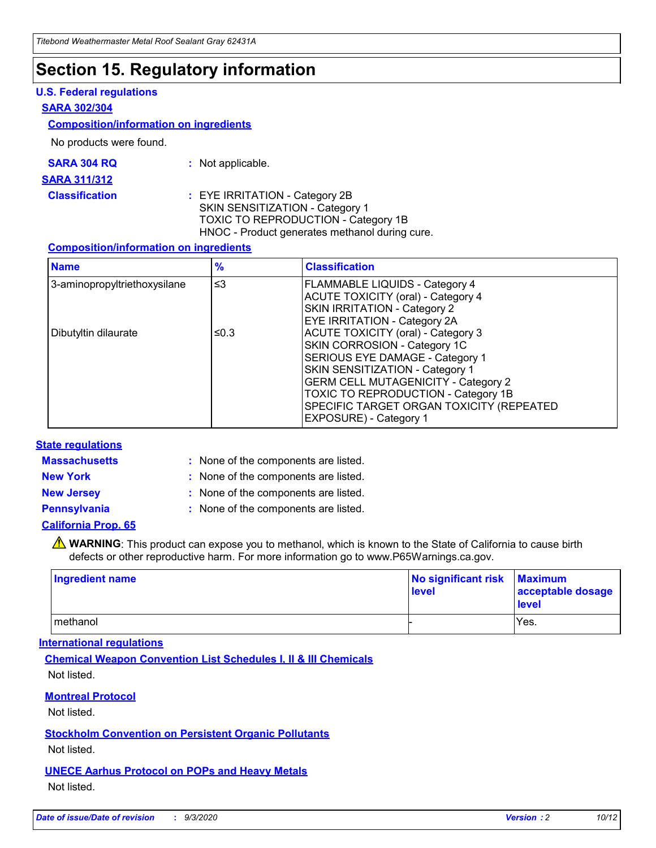### **Section 15. Regulatory information**

#### **U.S. Federal regulations**

#### **SARA 302/304**

#### **Composition/information on ingredients**

No products were found.

| SARA 304 RQ | Not applicable. |
|-------------|-----------------|
|-------------|-----------------|

#### **SARA 311/312**

#### **Classification :** EYE IRRITATION - Category 2B SKIN SENSITIZATION - Category 1 TOXIC TO REPRODUCTION - Category 1B HNOC - Product generates methanol during cure.

#### **Composition/information on ingredients**

| <b>Name</b>                  | $\frac{9}{6}$ | <b>Classification</b>                                                                                                                                                                                                                                                                                      |
|------------------------------|---------------|------------------------------------------------------------------------------------------------------------------------------------------------------------------------------------------------------------------------------------------------------------------------------------------------------------|
| 3-aminopropyltriethoxysilane | $\leq$ 3      | <b>FLAMMABLE LIQUIDS - Category 4</b><br><b>ACUTE TOXICITY (oral) - Category 4</b><br><b>SKIN IRRITATION - Category 2</b><br>EYE IRRITATION - Category 2A                                                                                                                                                  |
| Dibutyltin dilaurate         | ≤0.3          | <b>ACUTE TOXICITY (oral) - Category 3</b><br>SKIN CORROSION - Category 1C<br>SERIOUS EYE DAMAGE - Category 1<br>SKIN SENSITIZATION - Category 1<br><b>GERM CELL MUTAGENICITY - Category 2</b><br>TOXIC TO REPRODUCTION - Category 1B<br>SPECIFIC TARGET ORGAN TOXICITY (REPEATED<br>EXPOSURE) - Category 1 |

#### **State regulations**

**Massachusetts :**

: None of the components are listed.

**New York :** None of the components are listed.

**New Jersey :** None of the components are listed.

**Pennsylvania :** None of the components are listed.

#### **California Prop. 65**

WARNING: This product can expose you to methanol, which is known to the State of California to cause birth defects or other reproductive harm. For more information go to www.P65Warnings.ca.gov.

| Ingredient name | No significant risk<br>level | <b>Maximum</b><br>acceptable dosage<br><b>level</b> |
|-----------------|------------------------------|-----------------------------------------------------|
| l methanol      |                              | Yes.                                                |

#### **International regulations**

**Chemical Weapon Convention List Schedules I, II & III Chemicals** Not listed.

#### **Montreal Protocol**

Not listed.

**Stockholm Convention on Persistent Organic Pollutants**

Not listed.

#### **UNECE Aarhus Protocol on POPs and Heavy Metals** Not listed.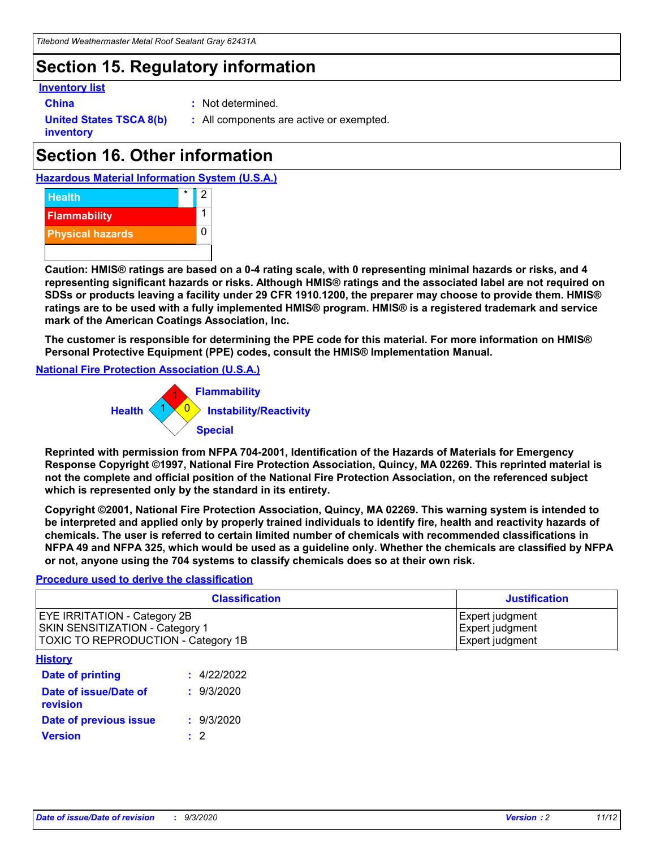### **Section 15. Regulatory information**

#### **Inventory list**

- 
- **China :** Not determined.

**United States TSCA 8(b) inventory**

**:** All components are active or exempted.

# **Section 16. Other information**





**Caution: HMIS® ratings are based on a 0-4 rating scale, with 0 representing minimal hazards or risks, and 4 representing significant hazards or risks. Although HMIS® ratings and the associated label are not required on SDSs or products leaving a facility under 29 CFR 1910.1200, the preparer may choose to provide them. HMIS® ratings are to be used with a fully implemented HMIS® program. HMIS® is a registered trademark and service mark of the American Coatings Association, Inc.**

**The customer is responsible for determining the PPE code for this material. For more information on HMIS® Personal Protective Equipment (PPE) codes, consult the HMIS® Implementation Manual.**

**National Fire Protection Association (U.S.A.)**



**Reprinted with permission from NFPA 704-2001, Identification of the Hazards of Materials for Emergency Response Copyright ©1997, National Fire Protection Association, Quincy, MA 02269. This reprinted material is not the complete and official position of the National Fire Protection Association, on the referenced subject which is represented only by the standard in its entirety.**

**Copyright ©2001, National Fire Protection Association, Quincy, MA 02269. This warning system is intended to be interpreted and applied only by properly trained individuals to identify fire, health and reactivity hazards of chemicals. The user is referred to certain limited number of chemicals with recommended classifications in NFPA 49 and NFPA 325, which would be used as a guideline only. Whether the chemicals are classified by NFPA or not, anyone using the 704 systems to classify chemicals does so at their own risk.**

#### **Procedure used to derive the classification**

| <b>Classification</b>                                                                                         | <b>Justification</b>                                  |
|---------------------------------------------------------------------------------------------------------------|-------------------------------------------------------|
| <b>EYE IRRITATION - Category 2B</b><br>SKIN SENSITIZATION - Category 1<br>TOXIC TO REPRODUCTION - Category 1B | Expert judgment<br>Expert judgment<br>Expert judgment |
| <b>History</b>                                                                                                |                                                       |

| .                                 |             |
|-----------------------------------|-------------|
| <b>Date of printing</b>           | : 4/22/2022 |
| Date of issue/Date of<br>revision | : 9/3/2020  |
| Date of previous issue            | : 9/3/2020  |
| <b>Version</b>                    | $\cdot$ 2   |
|                                   |             |